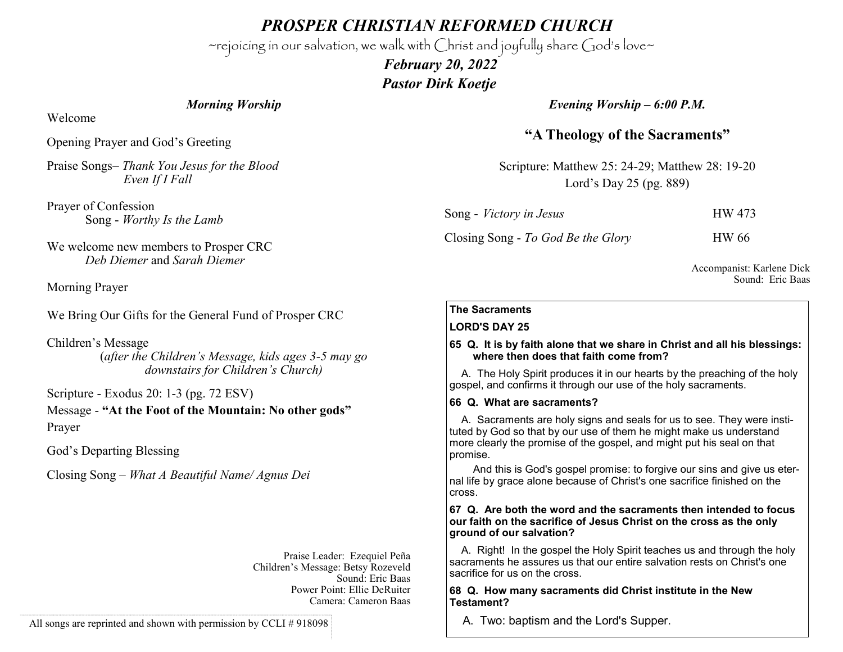*PROSPER CHRISTIAN REFORMED CHURCH*

~rejoicing in our salvation, we walk with Christ and joyfully share God's love~

 *February 20, 2022 Pastor Dirk Koetje* 

## *Morning Worship*

Welcome

Opening Prayer and God's Greeting

Praise Songs– *Thank You Jesus for the Blood Even If I Fall*

Prayer of Confession Song - *Worthy Is the Lamb*

We welcome new members to Prosper CRC *Deb Diemer* and *Sarah Diemer*

Morning Prayer

We Bring Our Gifts for the General Fund of Prosper CRC

Children's Message (*after the Children's Message, kids ages 3-5 may go downstairs for Children's Church)*

Scripture - Exodus 20: 1-3 (pg. 72 ESV) Message - **"At the Foot of the Mountain: No other gods"** Prayer

God's Departing Blessing

Closing Song – *What A Beautiful Name/ Agnus Dei*

Praise Leader: Ezequiel Peña Children's Message: Betsy Rozeveld Sound: Eric Baas Power Point: Ellie DeRuiter Camera: Cameron Baas

All songs are reprinted and shown with permission by CCLI # 918098

*Evening Worship – 6:00 P.M.*

# **"A Theology of the Sacraments"**

Scripture: Matthew 25: 24-29; Matthew 28: 19-20 Lord's Day 25 (pg. 889)

| Song - <i>Victory in Jesus</i>     | HW 473       |
|------------------------------------|--------------|
| Closing Song - To God Be the Glory | <b>HW</b> 66 |

Accompanist: Karlene Dick Sound: Eric Baas

### **The Sacraments**

#### **LORD'S DAY 25**

#### **65 Q. It is by faith alone that we share in Christ and all his blessings: where then does that faith come from?**

 A. The Holy Spirit produces it in our hearts by the preaching of the holy gospel, and confirms it through our use of the holy sacraments.

#### **66 Q. What are sacraments?**

 A. Sacraments are holy signs and seals for us to see. They were instituted by God so that by our use of them he might make us understand more clearly the promise of the gospel, and might put his seal on that promise.

 And this is God's gospel promise: to forgive our sins and give us eternal life by grace alone because of Christ's one sacrifice finished on the cross.

#### **67 Q. Are both the word and the sacraments then intended to focus our faith on the sacrifice of Jesus Christ on the cross as the only ground of our salvation?**

 A. Right! In the gospel the Holy Spirit teaches us and through the holy sacraments he assures us that our entire salvation rests on Christ's one sacrifice for us on the cross.

#### **68 Q. How many sacraments did Christ institute in the New Testament?**

A. Two: baptism and the Lord's Supper.